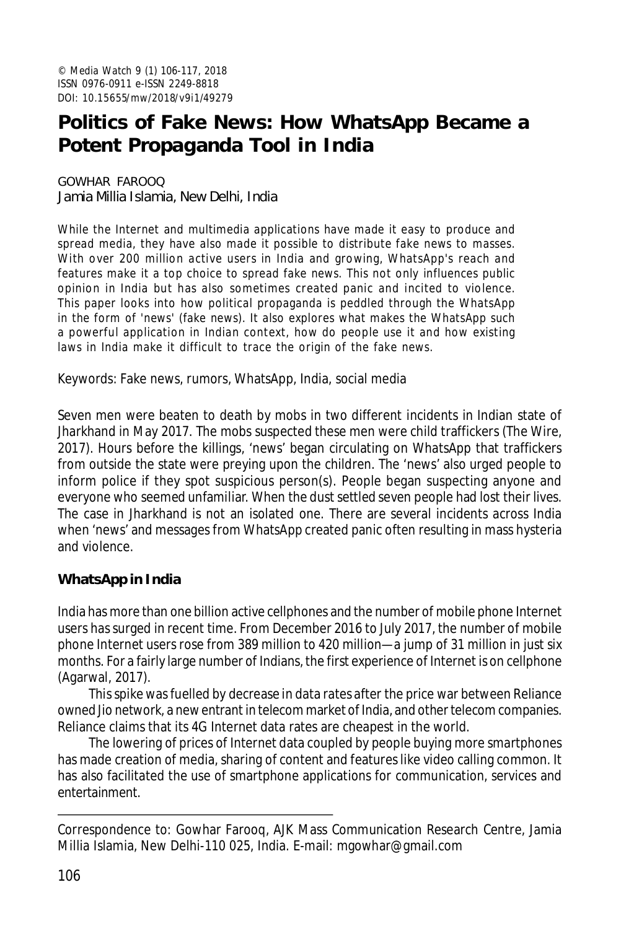# **Politics of Fake News: How WhatsApp Became a Potent Propaganda Tool in India**

GOWHAR FAROOQ Jamia Millia Islamia, New Delhi, India

While the Internet and multimedia applications have made it easy to produce and spread media, they have also made it possible to distribute fake news to masses. With over 200 million active users in India and growing, WhatsApp's reach and features make it a top choice to spread fake news. This not only influences public opinion in India but has also sometimes created panic and incited to violence. This paper looks into how political propaganda is peddled through the WhatsApp in the form of 'news' (fake news). It also explores what makes the WhatsApp such a powerful application in Indian context, how do people use it and how existing laws in India make it difficult to trace the origin of the fake news.

Keywords: Fake news, rumors, WhatsApp, India, social media

Seven men were beaten to death by mobs in two different incidents in Indian state of Jharkhand in May 2017. The mobs suspected these men were child traffickers (The Wire, 2017). Hours before the killings, 'news' began circulating on WhatsApp that traffickers from outside the state were preying upon the children. The 'news' also urged people to inform police if they spot suspicious person(s). People began suspecting anyone and everyone who seemed unfamiliar. When the dust settled seven people had lost their lives. The case in Jharkhand is not an isolated one. There are several incidents across India when 'news' and messages from WhatsApp created panic often resulting in mass hysteria and violence.

## **WhatsApp in India**

India has more than one billion active cellphones and the number of mobile phone Internet users has surged in recent time. From December 2016 to July 2017, the number of mobile phone Internet users rose from 389 million to 420 million—a jump of 31 million in just six months. For a fairly large number of Indians, the first experience of Internet is on cellphone (Agarwal, 2017).

This spike was fuelled by decrease in data rates after the price war between Reliance owned Jio network, a new entrant in telecom market of India, and other telecom companies. Reliance claims that its 4G Internet data rates are cheapest in the world.

The lowering of prices of Internet data coupled by people buying more smartphones has made creation of media, sharing of content and features like video calling common. It has also facilitated the use of smartphone applications for communication, services and entertainment.

Correspondence to: Gowhar Farooq, AJK Mass Communication Research Centre, Jamia Millia Islamia, New Delhi-110 025, India. E-mail: mgowhar@gmail.com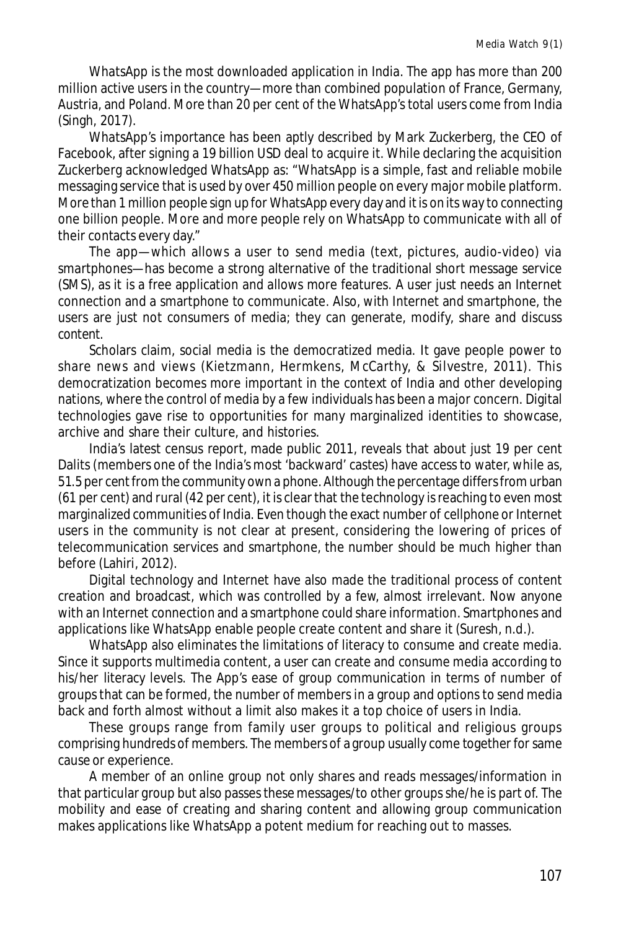WhatsApp is the most downloaded application in India. The app has more than 200 million active users in the country—more than combined population of France, Germany, Austria, and Poland. More than 20 per cent of the WhatsApp's total users come from India (Singh, 2017).

WhatsApp's importance has been aptly described by Mark Zuckerberg, the CEO of Facebook, after signing a 19 billion USD deal to acquire it. While declaring the acquisition Zuckerberg acknowledged WhatsApp as: "WhatsApp is a simple, fast and reliable mobile messaging service that is used by over 450 million people on every major mobile platform. More than 1 million people sign up for WhatsApp every day and it is on its way to connecting one billion people. More and more people rely on WhatsApp to communicate with all of their contacts every day."

The app—which allows a user to send media (text, pictures, audio-video) via smartphones—has become a strong alternative of the traditional short message service (SMS), as it is a free application and allows more features. A user just needs an Internet connection and a smartphone to communicate. Also, with Internet and smartphone, the users are just not consumers of media; they can generate, modify, share and discuss content.

Scholars claim, social media is the democratized media. It gave people power to share news and views (Kietzmann, Hermkens, McCarthy, & Silvestre, 2011). This democratization becomes more important in the context of India and other developing nations, where the control of media by a few individuals has been a major concern. Digital technologies gave rise to opportunities for many marginalized identities to showcase, archive and share their culture, and histories.

India's latest census report, made public 2011, reveals that about just 19 per cent Dalits (members one of the India's most 'backward' castes) have access to water, while as, 51.5 per cent from the community own a phone. Although the percentage differs from urban (61 per cent) and rural (42 per cent), it is clear that the technology is reaching to even most marginalized communities of India. Even though the exact number of cellphone or Internet users in the community is not clear at present, considering the lowering of prices of telecommunication services and smartphone, the number should be much higher than before (Lahiri, 2012).

Digital technology and Internet have also made the traditional process of content creation and broadcast, which was controlled by a few, almost irrelevant. Now anyone with an Internet connection and a smartphone could share information. Smartphones and applications like WhatsApp enable people create content and share it (Suresh, n.d.).

WhatsApp also eliminates the limitations of literacy to consume and create media. Since it supports multimedia content, a user can create and consume media according to his/her literacy levels. The App's ease of group communication in terms of number of groups that can be formed, the number of members in a group and options to send media back and forth almost without a limit also makes it a top choice of users in India.

These groups range from family user groups to political and religious groups comprising hundreds of members. The members of a group usually come together for same cause or experience.

A member of an online group not only shares and reads messages/information in that particular group but also passes these messages/to other groups she/he is part of. The mobility and ease of creating and sharing content and allowing group communication makes applications like WhatsApp a potent medium for reaching out to masses.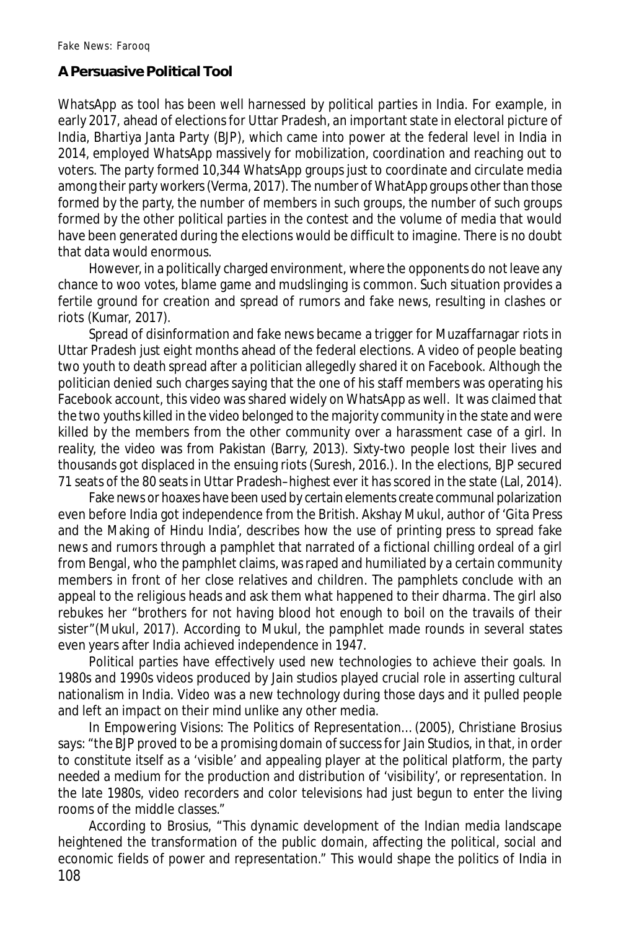## **A Persuasive Political Tool**

WhatsApp as tool has been well harnessed by political parties in India. For example, in early 2017, ahead of elections for Uttar Pradesh, an important state in electoral picture of India, Bhartiya Janta Party (BJP), which came into power at the federal level in India in 2014, employed WhatsApp massively for mobilization, coordination and reaching out to voters. The party formed 10,344 WhatsApp groups just to coordinate and circulate media among their party workers (Verma, 2017). The number of WhatApp groups other than those formed by the party, the number of members in such groups, the number of such groups formed by the other political parties in the contest and the volume of media that would have been generated during the elections would be difficult to imagine. There is no doubt that data would enormous.

However, in a politically charged environment, where the opponents do not leave any chance to woo votes, blame game and mudslinging is common. Such situation provides a fertile ground for creation and spread of rumors and fake news, resulting in clashes or riots (Kumar, 2017).

Spread of disinformation and fake news became a trigger for Muzaffarnagar riots in Uttar Pradesh just eight months ahead of the federal elections. A video of people beating two youth to death spread after a politician allegedly shared it on Facebook. Although the politician denied such charges saying that the one of his staff members was operating his Facebook account, this video was shared widely on WhatsApp as well. It was claimed that the two youths killed in the video belonged to the majority community in the state and were killed by the members from the other community over a harassment case of a girl. In reality, the video was from Pakistan (Barry, 2013). Sixty-two people lost their lives and thousands got displaced in the ensuing riots (Suresh, 2016.). In the elections, BJP secured 71 seats of the 80 seats in Uttar Pradesh–highest ever it has scored in the state (Lal, 2014).

Fake news or hoaxes have been used by certain elements create communal polarization even before India got independence from the British. Akshay Mukul, author of 'Gita Press and the Making of Hindu India', describes how the use of printing press to spread fake news and rumors through a pamphlet that narrated of a fictional chilling ordeal of a girl from Bengal, who the pamphlet claims, was raped and humiliated by a certain community members in front of her close relatives and children. The pamphlets conclude with an appeal to the religious heads and ask them what happened to their *dharma*. The girl also rebukes her "brothers for not having blood hot enough to boil on the travails of their sister"(Mukul, 2017). According to Mukul, the pamphlet made rounds in several states even years after India achieved independence in 1947.

Political parties have effectively used new technologies to achieve their goals. In 1980s and 1990s videos produced by Jain studios played crucial role in asserting cultural nationalism in India. Video was a new technology during those days and it pulled people and left an impact on their mind unlike any other media.

In Empowering Visions: The Politics of Representation… (2005), Christiane Brosius says: "the BJP proved to be a promising domain of success for Jain Studios, in that, in order to constitute itself as a 'visible' and appealing player at the political platform, the party needed a medium for the production and distribution of 'visibility', or representation. In the late 1980s, video recorders and color televisions had just begun to enter the living rooms of the middle classes."

108 According to Brosius, "This dynamic development of the Indian media landscape heightened the transformation of the public domain, affecting the political, social and economic fields of power and representation." This would shape the politics of India in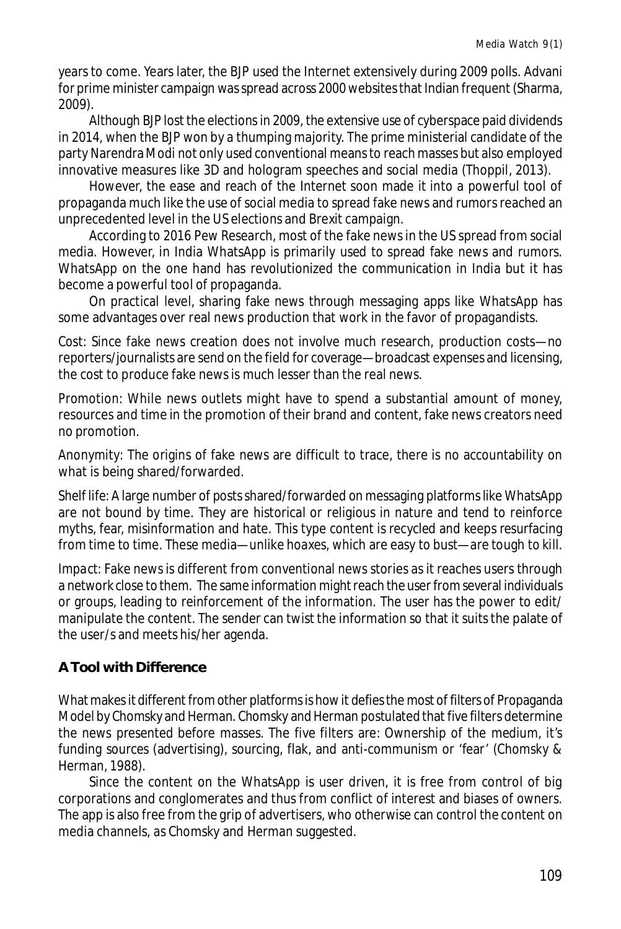years to come. Years later, the BJP used the Internet extensively during 2009 polls. Advani for prime minister campaign was spread across 2000 websites that Indian frequent (Sharma, 2009).

Although BJP lost the elections in 2009, the extensive use of cyberspace paid dividends in 2014, when the BJP won by a thumping majority. The prime ministerial candidate of the party Narendra Modi not only used conventional means to reach masses but also employed innovative measures like 3D and hologram speeches and social media (Thoppil, 2013).

However, the ease and reach of the Internet soon made it into a powerful tool of propaganda much like the use of social media to spread fake news and rumors reached an unprecedented level in the US elections and Brexit campaign.

According to 2016 Pew Research, most of the fake news in the US spread from social media. However, in India WhatsApp is primarily used to spread fake news and rumors. WhatsApp on the one hand has revolutionized the communication in India but it has become a powerful tool of propaganda.

On practical level, sharing fake news through messaging apps like WhatsApp has some advantages over real news production that work in the favor of propagandists.

*Cost*: Since fake news creation does not involve much research, production costs—no reporters/journalists are send on the field for coverage—broadcast expenses and licensing, the cost to produce fake news is much lesser than the real news.

*Promotion*: While news outlets might have to spend a substantial amount of money, resources and time in the promotion of their brand and content, fake news creators need no promotion.

*Anonymity*: The origins of fake news are difficult to trace, there is no accountability on what is being shared/forwarded.

*Shelf life*: A large number of posts shared/forwarded on messaging platforms like WhatsApp are not bound by time. They are historical or religious in nature and tend to reinforce myths, fear, misinformation and hate. This type content is recycled and keeps resurfacing from time to time. These media—unlike hoaxes, which are easy to bust—are tough to kill.

*Impact:* Fake news is different from conventional news stories as it reaches users through a network close to them. The same information might reach the user from several individuals or groups, leading to reinforcement of the information. The user has the power to edit/ manipulate the content. The sender can twist the information so that it suits the palate of the user/s and meets his/her agenda.

## **A Tool with Difference**

What makes it different from other platforms is how it defies the most of filters of Propaganda Model by Chomsky and Herman. Chomsky and Herman postulated that five filters determine the news presented before masses. The five filters are: Ownership of the medium, it's funding sources (advertising), sourcing, flak, and anti-communism or 'fear' (Chomsky & Herman, 1988).

Since the content on the WhatsApp is user driven, it is free from control of big corporations and conglomerates and thus from conflict of interest and biases of owners. The app is also free from the grip of advertisers, who otherwise can control the content on media channels, as Chomsky and Herman suggested.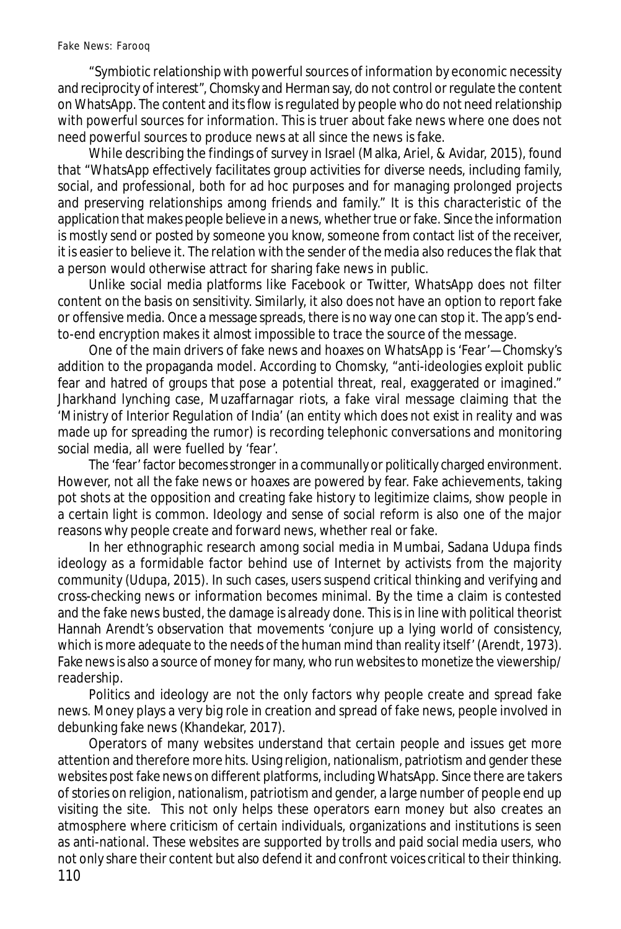"Symbiotic relationship with powerful sources of information by economic necessity and reciprocity of interest", Chomsky and Herman say, do not control or regulate the content on WhatsApp. The content and its flow is regulated by people who do not need relationship with powerful sources for information. This is truer about fake news where one does not need powerful sources to produce news at all since the news is fake.

While describing the findings of survey in Israel (Malka, Ariel, & Avidar, 2015), found that "WhatsApp effectively facilitates group activities for diverse needs, including family, social, and professional, both for ad hoc purposes and for managing prolonged projects and preserving relationships among friends and family." It is this characteristic of the application that makes people believe in a news, whether true or fake. Since the information is mostly send or posted by someone you know, someone from contact list of the receiver, it is easier to believe it. The relation with the sender of the media also reduces the flak that a person would otherwise attract for sharing fake news in public.

Unlike social media platforms like Facebook or Twitter, WhatsApp does not filter content on the basis on sensitivity. Similarly, it also does not have an option to report fake or offensive media. Once a message spreads, there is no way one can stop it. The app's endto-end encryption makes it almost impossible to trace the source of the message.

One of the main drivers of fake news and hoaxes on WhatsApp is 'Fear'—Chomsky's addition to the propaganda model. According to Chomsky, "anti-ideologies exploit public fear and hatred of groups that pose a potential threat, real, exaggerated or imagined." Jharkhand lynching case, Muzaffarnagar riots, a fake viral message claiming that the 'Ministry of Interior Regulation of India' (an entity which does not exist in reality and was made up for spreading the rumor) is recording telephonic conversations and monitoring social media, all were fuelled by 'fear'.

The 'fear' factor becomes stronger in a communally or politically charged environment. However, not all the fake news or hoaxes are powered by fear. Fake achievements, taking pot shots at the opposition and creating fake history to legitimize claims, show people in a certain light is common. Ideology and sense of social reform is also one of the major reasons why people create and forward news, whether real or fake.

In her ethnographic research among social media in Mumbai, Sadana Udupa finds ideology as a formidable factor behind use of Internet by activists from the majority community (Udupa, 2015). In such cases, users suspend critical thinking and verifying and cross-checking news or information becomes minimal. By the time a claim is contested and the fake news busted, the damage is already done. This is in line with political theorist Hannah Arendt's observation that movements 'conjure up a lying world of consistency, which is more adequate to the needs of the human mind than reality itself' (Arendt, 1973). Fake news is also a source of money for many, who run websites to monetize the viewership/ readership.

Politics and ideology are not the only factors why people create and spread fake news. Money plays a very big role in creation and spread of fake news, people involved in debunking fake news (Khandekar, 2017).

110 Operators of many websites understand that certain people and issues get more attention and therefore more hits. Using religion, nationalism, patriotism and gender these websites post fake news on different platforms, including WhatsApp. Since there are takers of stories on religion, nationalism, patriotism and gender, a large number of people end up visiting the site. This not only helps these operators earn money but also creates an atmosphere where criticism of certain individuals, organizations and institutions is seen as anti-national. These websites are supported by trolls and paid social media users, who not only share their content but also defend it and confront voices critical to their thinking.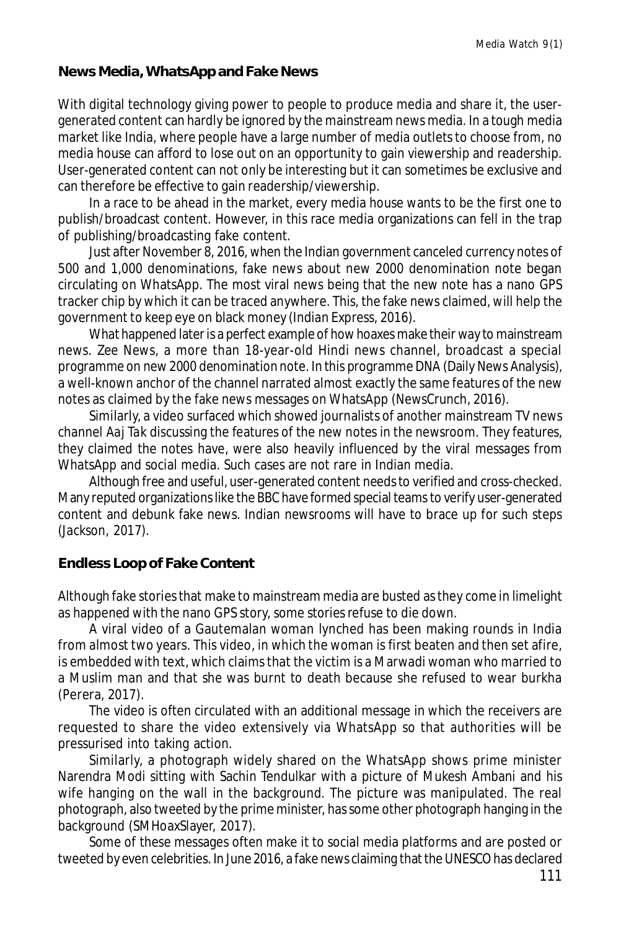#### **News Media, WhatsApp and Fake News**

With digital technology giving power to people to produce media and share it, the usergenerated content can hardly be ignored by the mainstream news media. In a tough media market like India, where people have a large number of media outlets to choose from, no media house can afford to lose out on an opportunity to gain viewership and readership. User-generated content can not only be interesting but it can sometimes be exclusive and can therefore be effective to gain readership/viewership.

In a race to be ahead in the market, every media house wants to be the first one to publish/broadcast content. However, in this race media organizations can fell in the trap of publishing/broadcasting fake content.

Just after November 8, 2016, when the Indian government canceled currency notes of 500 and 1,000 denominations, fake news about new 2000 denomination note began circulating on WhatsApp. The most viral news being that the new note has a nano GPS tracker chip by which it can be traced anywhere. This, the fake news claimed, will help the government to keep eye on black money (Indian Express, 2016).

What happened later is a perfect example of how hoaxes make their way to mainstream news. *Zee News*, a more than 18-year-old Hindi news channel, broadcast a special programme on new 2000 denomination note. In this programme DNA (Daily News Analysis), a well-known anchor of the channel narrated almost exactly the same features of the new notes as claimed by the fake news messages on WhatsApp (NewsCrunch, 2016).

Similarly, a video surfaced which showed journalists of another mainstream TV news channel *Aaj Tak* discussing the features of the new notes in the newsroom. They features, they claimed the notes have, were also heavily influenced by the viral messages from WhatsApp and social media. Such cases are not rare in Indian media.

Although free and useful, user-generated content needs to verified and cross-checked. Many reputed organizations like the BBC have formed special teams to verify user-generated content and debunk fake news. Indian newsrooms will have to brace up for such steps (Jackson, 2017).

## **Endless Loop of Fake Content**

Although fake stories that make to mainstream media are busted as they come in limelight as happened with the nano GPS story, some stories refuse to die down.

A viral video of a Gautemalan woman lynched has been making rounds in India from almost two years. This video, in which the woman is first beaten and then set afire, is embedded with text, which claims that the victim is a Marwadi woman who married to a Muslim man and that she was burnt to death because she refused to wear burkha (Perera, 2017).

The video is often circulated with an additional message in which the receivers are requested to share the video extensively via WhatsApp so that authorities will be pressurised into taking action.

Similarly, a photograph widely shared on the WhatsApp shows prime minister Narendra Modi sitting with Sachin Tendulkar with a picture of Mukesh Ambani and his wife hanging on the wall in the background. The picture was manipulated. The real photograph, also tweeted by the prime minister, has some other photograph hanging in the background (SMHoaxSlayer, 2017).

Some of these messages often make it to social media platforms and are posted or tweeted by even celebrities. In June 2016, a fake news claiming that the UNESCO has declared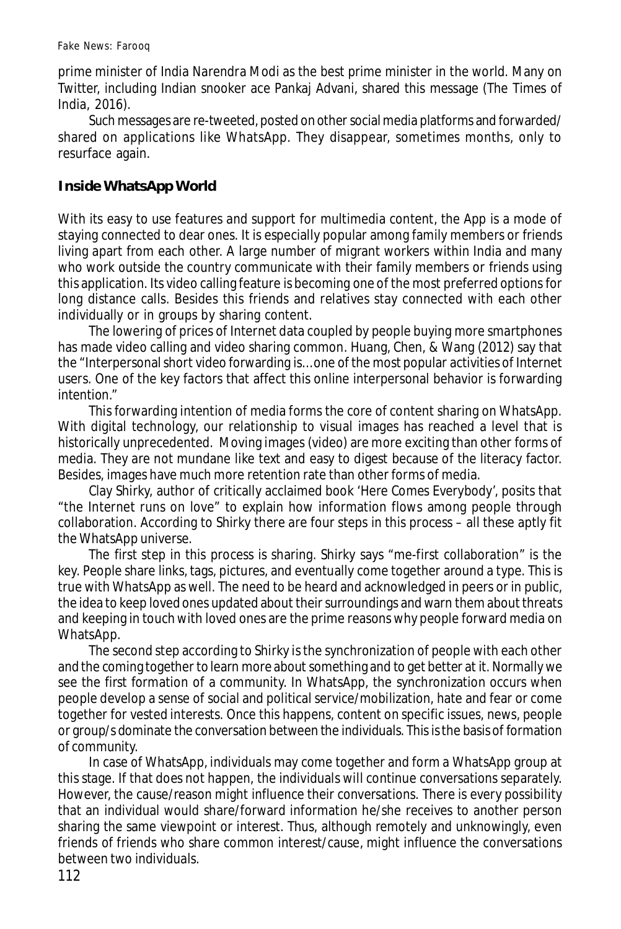prime minister of India Narendra Modi as the best prime minister in the world. Many on Twitter, including Indian snooker ace Pankaj Advani, shared this message (The Times of India, 2016).

Such messages are re-tweeted, posted on other social media platforms and forwarded/ shared on applications like WhatsApp. They disappear, sometimes months, only to resurface again.

## **Inside WhatsApp World**

With its easy to use features and support for multimedia content, the App is a mode of staying connected to dear ones. It is especially popular among family members or friends living apart from each other. A large number of migrant workers within India and many who work outside the country communicate with their family members or friends using this application. Its video calling feature is becoming one of the most preferred options for long distance calls. Besides this friends and relatives stay connected with each other individually or in groups by sharing content.

The lowering of prices of Internet data coupled by people buying more smartphones has made video calling and video sharing common. Huang, Chen, & Wang (2012) say that the "Interpersonal short video forwarding is… one of the most popular activities of Internet users. One of the key factors that affect this online interpersonal behavior is forwarding intention."

This forwarding intention of media forms the core of content sharing on WhatsApp. With digital technology, our relationship to visual images has reached a level that is historically unprecedented. Moving images (video) are more exciting than other forms of media. They are not mundane like text and easy to digest because of the literacy factor. Besides, images have much more retention rate than other forms of media.

Clay Shirky, author of critically acclaimed book 'Here Comes Everybody', posits that "the Internet runs on love" to explain how information flows among people through collaboration. According to Shirky there are four steps in this process – all these aptly fit the WhatsApp universe.

The first step in this process is sharing. Shirky says "me-first collaboration" is the key. People share links, tags, pictures, and eventually come together around a type. This is true with WhatsApp as well. The need to be heard and acknowledged in peers or in public, the idea to keep loved ones updated about their surroundings and warn them about threats and keeping in touch with loved ones are the prime reasons why people forward media on WhatsApp.

The second step according to Shirky is the synchronization of people with each other and the coming together to learn more about something and to get better at it. Normally we see the first formation of a community. In WhatsApp, the synchronization occurs when people develop a sense of social and political service/mobilization, hate and fear or come together for vested interests. Once this happens, content on specific issues, news, people or group/s dominate the conversation between the individuals. This is the basis of formation of community.

In case of WhatsApp, individuals may come together and form a WhatsApp group at this stage. If that does not happen, the individuals will continue conversations separately. However, the cause/reason might influence their conversations. There is every possibility that an individual would share/forward information he/she receives to another person sharing the same viewpoint or interest. Thus, although remotely and unknowingly, even friends of friends who share common interest/cause, might influence the conversations between two individuals.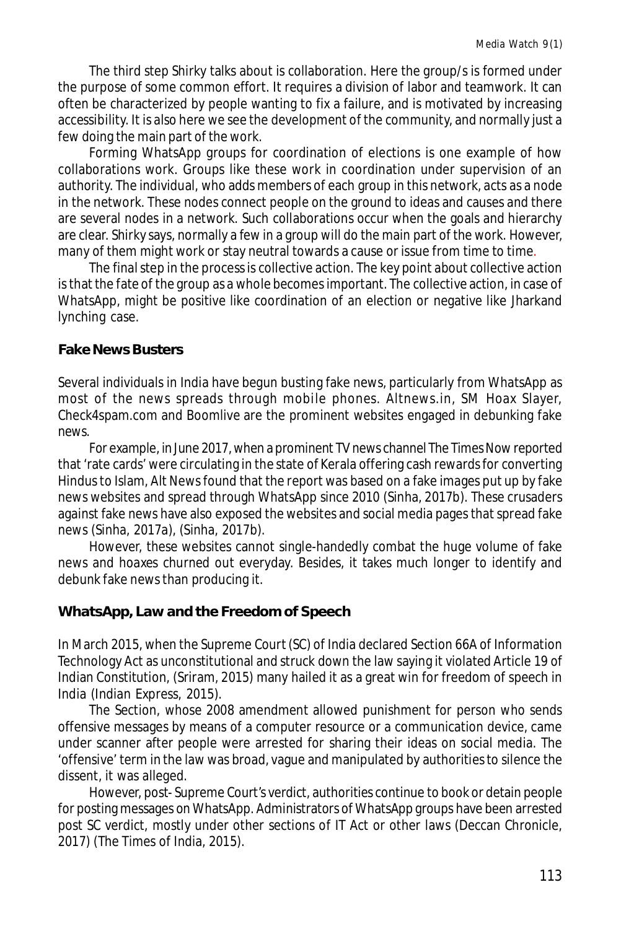The third step Shirky talks about is collaboration. Here the group/s is formed under the purpose of some common effort. It requires a division of labor and teamwork. It can often be characterized by people wanting to fix a failure, and is motivated by increasing accessibility. It is also here we see the development of the community, and normally just a few doing the main part of the work.

Forming WhatsApp groups for coordination of elections is one example of how collaborations work. Groups like these work in coordination under supervision of an authority. The individual, who adds members of each group in this network, acts as a node in the network. These nodes connect people on the ground to ideas and causes and there are several nodes in a network. Such collaborations occur when the goals and hierarchy are clear. Shirky says, normally a few in a group will do the main part of the work. However, many of them might work or stay neutral towards a cause or issue from time to time.

The final step in the process is collective action. The key point about collective action is that the fate of the group as a whole becomes important. The collective action, in case of WhatsApp, might be positive like coordination of an election or negative like Jharkand lynching case.

#### **Fake News Busters**

Several individuals in India have begun busting fake news, particularly from WhatsApp as most of the news spreads through mobile phones. Altnews.in, SM Hoax Slayer, Check4spam.com and Boomlive are the prominent websites engaged in debunking fake news.

For example, in June 2017, when a prominent TV news channel The Times Now reported that 'rate cards' were circulating in the state of Kerala offering cash rewards for converting Hindus to Islam, Alt News found that the report was based on a fake images put up by fake news websites and spread through WhatsApp since 2010 (Sinha, 2017b). These crusaders against fake news have also exposed the websites and social media pages that spread fake news (Sinha, 2017a), (Sinha, 2017b).

However, these websites cannot single-handedly combat the huge volume of fake news and hoaxes churned out everyday. Besides, it takes much longer to identify and debunk fake news than producing it.

## **WhatsApp, Law and the Freedom of Speech**

In March 2015, when the Supreme Court (SC) of India declared Section 66A of Information Technology Act as unconstitutional and struck down the law saying it violated Article 19 of Indian Constitution, (Sriram, 2015) many hailed it as a great win for freedom of speech in India (Indian Express, 2015).

The Section, whose 2008 amendment allowed punishment for person who sends offensive messages by means of a computer resource or a communication device, came under scanner after people were arrested for sharing their ideas on social media. The 'offensive' term in the law was broad, vague and manipulated by authorities to silence the dissent, it was alleged.

However, post- Supreme Court's verdict, authorities continue to book or detain people for posting messages on WhatsApp. Administrators of WhatsApp groups have been arrested post SC verdict, mostly under other sections of IT Act or other laws (Deccan Chronicle, 2017) (The Times of India, 2015).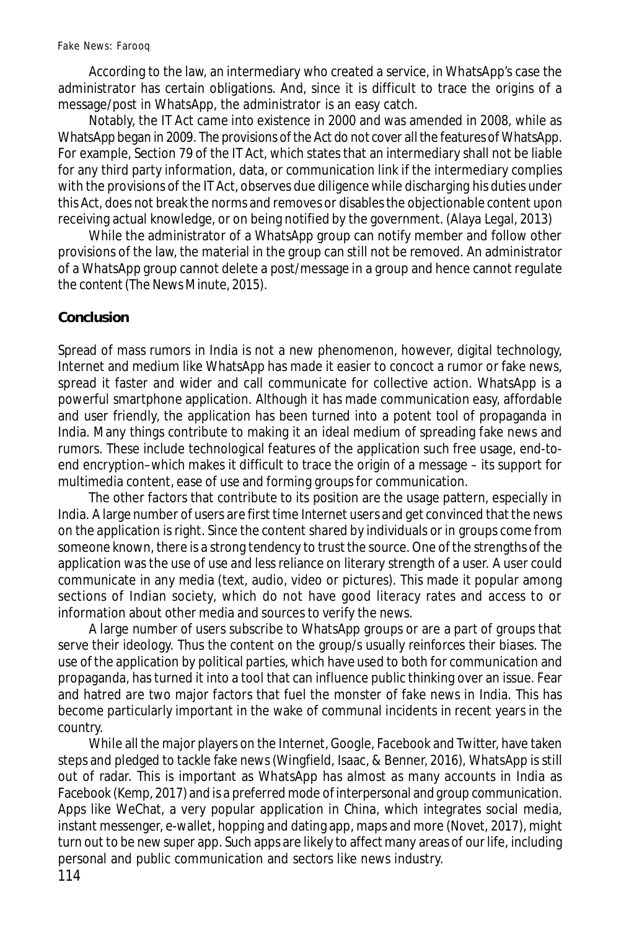According to the law, an intermediary who created a service, in WhatsApp's case the administrator has certain obligations. And, since it is difficult to trace the origins of a message/post in WhatsApp, the administrator is an easy catch.

Notably, the IT Act came into existence in 2000 and was amended in 2008, while as WhatsApp began in 2009. The provisions of the Act do not cover all the features of WhatsApp. For example, Section 79 of the IT Act, which states that an intermediary shall not be liable for any third party information, data, or communication link if the intermediary complies with the provisions of the IT Act, observes due diligence while discharging his duties under this Act, does not break the norms and removes or disables the objectionable content upon receiving actual knowledge, or on being notified by the government. (Alaya Legal, 2013)

While the administrator of a WhatsApp group can notify member and follow other provisions of the law, the material in the group can still not be removed. An administrator of a WhatsApp group cannot delete a post/message in a group and hence cannot regulate the content (The News Minute, 2015).

#### **Conclusion**

Spread of mass rumors in India is not a new phenomenon, however, digital technology, Internet and medium like WhatsApp has made it easier to concoct a rumor or fake news, spread it faster and wider and call communicate for collective action. WhatsApp is a powerful smartphone application. Although it has made communication easy, affordable and user friendly, the application has been turned into a potent tool of propaganda in India. Many things contribute to making it an ideal medium of spreading fake news and rumors. These include technological features of the application such free usage, end-toend encryption–which makes it difficult to trace the origin of a message – its support for multimedia content, ease of use and forming groups for communication.

The other factors that contribute to its position are the usage pattern, especially in India. A large number of users are first time Internet users and get convinced that the news on the application is right. Since the content shared by individuals or in groups come from someone known, there is a strong tendency to trust the source. One of the strengths of the application was the use of use and less reliance on literary strength of a user. A user could communicate in any media (text, audio, video or pictures). This made it popular among sections of Indian society, which do not have good literacy rates and access to or information about other media and sources to verify the news.

A large number of users subscribe to WhatsApp groups or are a part of groups that serve their ideology. Thus the content on the group/s usually reinforces their biases. The use of the application by political parties, which have used to both for communication and propaganda, has turned it into a tool that can influence public thinking over an issue. Fear and hatred are two major factors that fuel the monster of fake news in India. This has become particularly important in the wake of communal incidents in recent years in the country.

While all the major players on the Internet, Google, Facebook and Twitter, have taken steps and pledged to tackle fake news (Wingfield, Isaac, & Benner, 2016), WhatsApp is still out of radar. This is important as WhatsApp has almost as many accounts in India as Facebook (Kemp, 2017) and is a preferred mode of interpersonal and group communication. Apps like WeChat, a very popular application in China, which integrates social media, instant messenger, e-wallet, hopping and dating app, maps and more (Novet, 2017), might turn out to be new super app. Such apps are likely to affect many areas of our life, including personal and public communication and sectors like news industry.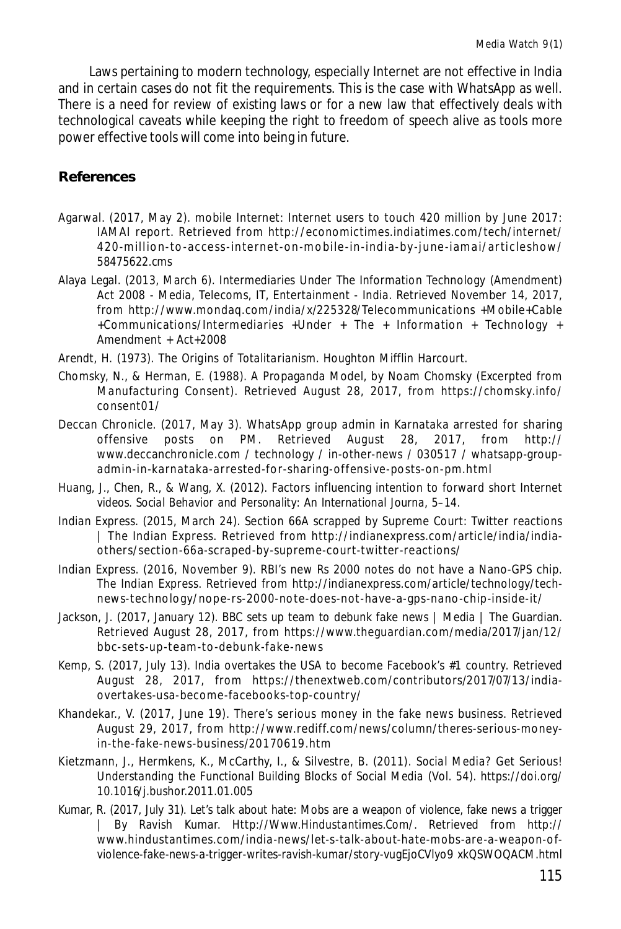Laws pertaining to modern technology, especially Internet are not effective in India and in certain cases do not fit the requirements. This is the case with WhatsApp as well. There is a need for review of existing laws or for a new law that effectively deals with technological caveats while keeping the right to freedom of speech alive as tools more power effective tools will come into being in future.

#### **References**

- Agarwal. (2017, May 2). mobile Internet: Internet users to touch 420 million by June 2017: IAMAI report. Retrieved from http://economictimes.indiatimes.com/tech/internet/ 4 20 -m illio n-to -ac cess-internet-on-m o bile-in-india-by -june-iam a i/artic leshow/ 58475622.cms
- Alaya Legal. (2013, March 6). Intermediaries Under The Information Technology (Amendment) Act 2008 - Media, Telecoms, IT, Entertainment - India. Retrieved November 14, 2017, from http://www.mondaq.com/india/x/225328/Telecommunications +Mobile+Cable +Communications/Intermediaries +Under + The + Information + Technology + Amendment + Act+2008
- Arendt, H. (1973). *The Origins of Totalitarianism*. Houghton Mifflin Harcourt.
- Chomsky, N., & Herman, E. (1988). A Propaganda Model, by Noam Chomsky (Excerpted from Manufacturing Consent). Retrieved August 28, 2017, from https://chomsky.info/ consent01/
- Deccan Chronicle. (2017, May 3). WhatsApp group admin in Karnataka arrested for sharing offensive posts on PM. Retrieved August 28, 2017, from http:// www.deccanchronicle.com / technology / in-other-news / 030517 / whatsapp-groupadmin-in-karnataka-arrested-for-sharing-offensive-posts-on-pm.html
- Huang, J., Chen, R., & Wang, X. (2012). Factors influencing intention to forward short Internet videos. *Social Behavior and Personality: An International Journa*, 5–14.
- Indian Express. (2015, March 24). Section 66A scrapped by Supreme Court: Twitter reactions | The Indian Express. Retrieved from http://indianexpress.com/article/india/indiaothers/section-66a-scraped-by-supreme-court-twitter-reactions/
- Indian Express. (2016, November 9). RBI's new Rs 2000 notes do not have a Nano-GPS chip. *The Indian Express*. Retrieved from http://indianexpress.com/article/technology/technews-technology/nope-rs-2000-note-does-not-have-a-gps-nano-chip-inside-it/
- Jackson, J. (2017, January 12). BBC sets up team to debunk fake news | Media | The Guardian. Retrieved August 28, 2017, from https://www.theguardian.com/media/2017/jan/12/ bbc-sets-up-team-to-debunk-fake-news
- Kemp, S. (2017, July 13). India overtakes the USA to become Facebook's #1 country. Retrieved August 28, 2017, from https://thenextweb.com/contributors/2017/07/13/indiaovertakes-usa-become-facebooks-top-country/
- Khandekar., V. (2017, June 19). There's serious money in the fake news business. Retrieved August 29, 2017, from http://www.rediff.com/news/column/theres-serious-moneyin-the-fake-news-business/20170619.htm
- Kietzmann, J., Hermkens, K., McCarthy, I., & Silvestre, B. (2011). *Social Media? Get Serious! Understanding the Functional Building Blocks of Social Media* (Vol. 54). https://doi.org/ 10.1016/j.bushor.2011.01.005
- Kumar, R. (2017, July 31). Let's talk about hate: Mobs are a weapon of violence, fake news a trigger | By Ravish Kumar. *Http://Www.Hindustantimes.Com/*. Retrieved from http:// www.hindustantimes.com/india-news/let-s-talk-about-hate-mobs-are-a-weapon-ofviolence-fake-news-a-trigger-writes-ravish-kumar/story-vugEjoCVlyo9 xkQSWOQACM.html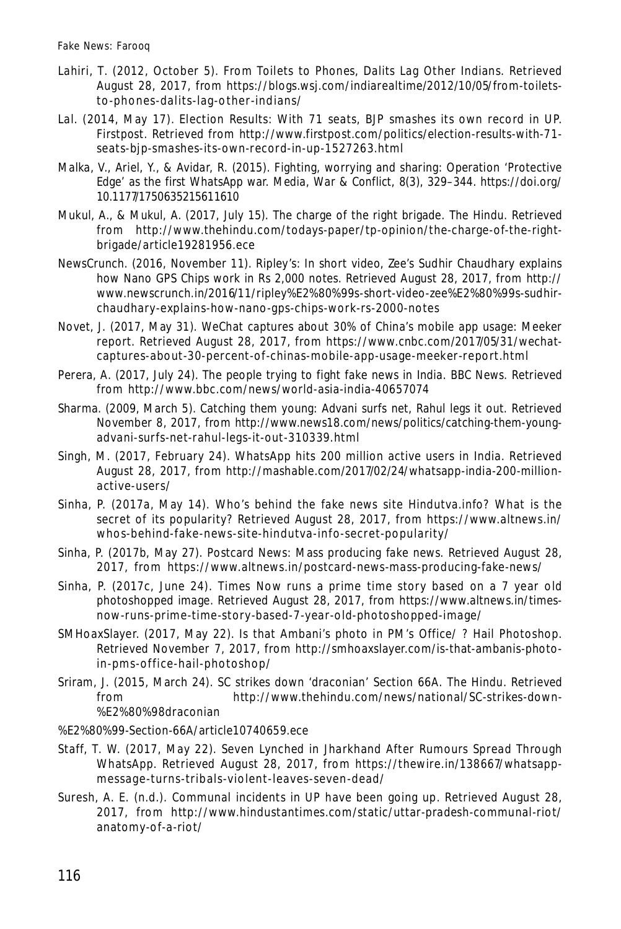- Lahiri, T. (2012, October 5). From Toilets to Phones, Dalits Lag Other Indians. Retrieved August 28, 2017, from https://blogs.wsj.com/indiarealtime/2012/10/05/from-toiletsto-phones-dalits-lag-o ther-indians/
- Lal. (2014, May 17). Election Results: With 71 seats, BJP smashes its own record in UP. *Firstpost*. Retrieved from http://www.firstpost.com/politics/election-results-with-71 seats-bjp-smashes-its-own-record-in-up-1527263.html
- Malka, V., Ariel, Y., & Avidar, R. (2015). Fighting, worrying and sharing: Operation 'Protective Edge' as the first WhatsApp war. *Media, War & Conflict*, *8*(3), 329–344. https://doi.org/ 10.1177/1750635215611610
- Mukul, A., & Mukul, A. (2017, July 15). The charge of the right brigade. *The Hindu*. Retrieved from http://www.thehindu.com/todays-paper/tp-opinion/the-charge-of-the-rightbrigade/article19281956.ece
- NewsCrunch. (2016, November 11). Ripley's: In short video, Zee's Sudhir Chaudhary explains how Nano GPS Chips work in Rs 2,000 notes. Retrieved August 28, 2017, from http:// www.newscrunch.in/2016/11/ripley%E2%80%99s-short-video-zee%E2%80%99s-sudhirchaudhary-explains-how-nano-gps-chips-work-rs-2000-notes
- Novet, J. (2017, May 31). WeChat captures about 30% of China's mobile app usage: Meeker report. Retrieved August 28, 2017, from https://www.cnbc.com/2017/05/31/wechatcaptures-about-30-percent-of-chinas-mobile-app-usage-meeker-report.html
- Perera, A. (2017, July 24). The people trying to fight fake news in India. *BBC News*. Retrieved from http://www.bbc.com/news/world-asia-india-40657074
- Sharma. (2009, March 5). Catching them young: Advani surfs net, Rahul legs it out. Retrieved November 8, 2017, from http://www.news18.com/news/politics/catching-them-youngadvani-surfs-net-rahul-legs-it-out-310339.html
- Singh, M. (2017, February 24). WhatsApp hits 200 million active users in India. Retrieved August 28, 2017, from http://mashable.com/2017/02/24/whatsapp-india-200-millionactive-users/
- Sinha, P. (2017a, May 14). Who's behind the fake news site Hindutva.info? What is the secret of its popularity? Retrieved August 28, 2017, from https://www.altnews.in/ whos-behind-fake-news-site-hindutva-info-secret-popularity/
- Sinha, P. (2017b, May 27). Postcard News: Mass producing fake news. Retrieved August 28, 2017, from https://www.altnews.in/postcard-news-mass-producing-fake-news/
- Sinha, P. (2017c, June 24). Times Now runs a prime time story based on a 7 year old photoshopped image. Retrieved August 28, 2017, from https://www.altnews.in/timesnow-runs-prime-time-story-based-7-year-old-photoshopped-image/
- SMHoaxSlayer. (2017, May 22). Is that Ambani's photo in PM's Office/ ? Hail Photoshop. Retrieved November 7, 2017, from http://smhoaxslayer.com/is-that-ambanis-photoin-pms-office-hail-photoshop/
- Sriram, J. (2015, March 24). SC strikes down 'draconian' Section 66A. *The Hindu*. Retrieved from http://www.thehindu.com/news/national/SC-strikes-down- %E2%80%98draconian
- %E2%80%99-Section-66A/article10740659.ece
- Staff, T. W. (2017, May 22). Seven Lynched in Jharkhand After Rumours Spread Through WhatsApp. Retrieved August 28, 2017, from https://thewire.in/138667/whatsappmessage-turns-tribals-violent-leaves-seven-dead/
- Suresh, A. E. (n.d.). Communal incidents in UP have been going up. Retrieved August 28, 2017, from http://www.hindustantimes.com/static/uttar-pradesh-communal-riot/ anatomy-of-a-riot/